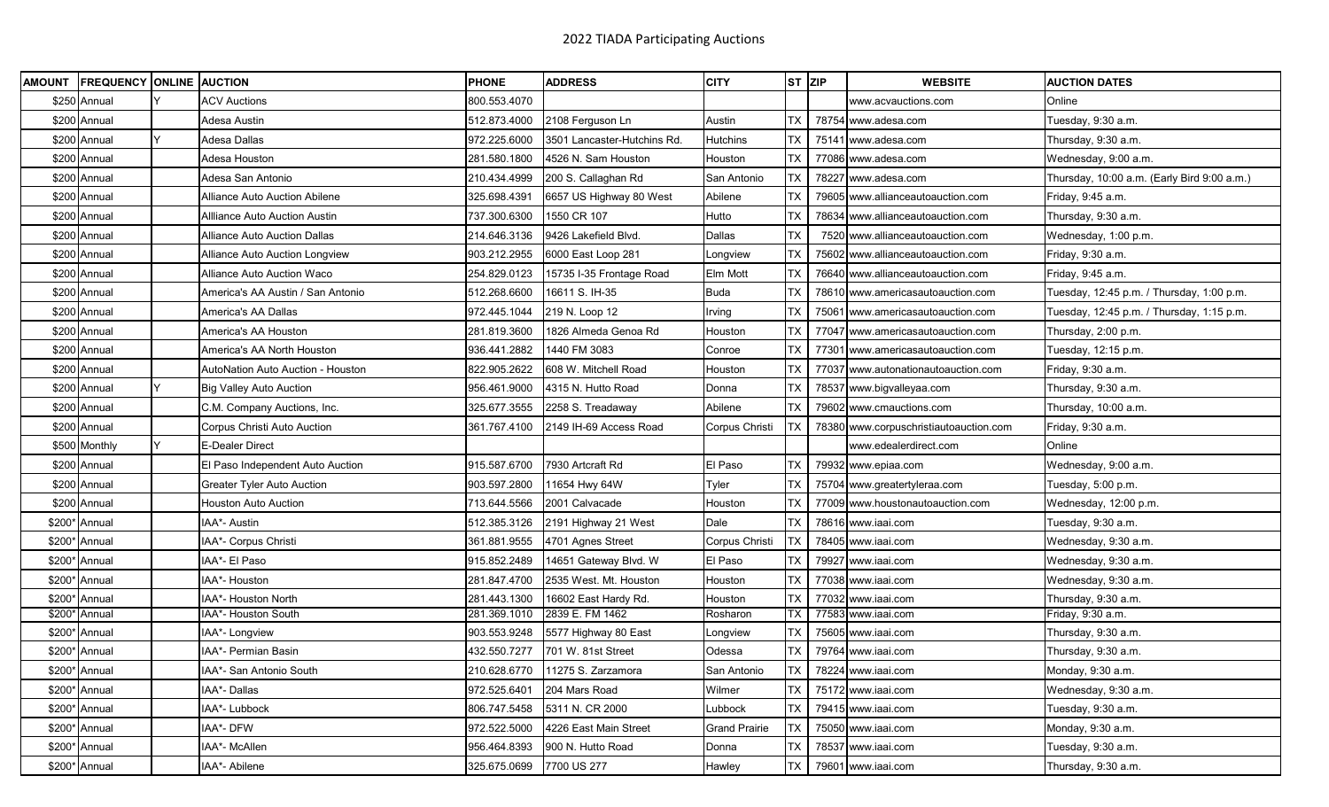| <b>AMOUNT</b> | <b>FREQUENCY ONLINE AUCTION</b> |                                      | <b>PHONE</b> | <b>ADDRESS</b>              | <b>CITY</b>          | ST ZIP    | <b>WEBSITE</b>                         | <b>AUCTION DATES</b>                        |
|---------------|---------------------------------|--------------------------------------|--------------|-----------------------------|----------------------|-----------|----------------------------------------|---------------------------------------------|
|               | \$250 Annual                    | <b>ACV Auctions</b>                  | 800.553.4070 |                             |                      |           | www.acvauctions.com                    | Online                                      |
|               | \$200 Annual                    | Adesa Austin                         | 512.873.4000 | 2108 Ferguson Ln            | Austin               | ТX        | 78754 www.adesa.com                    | Tuesday, 9:30 a.m.                          |
|               | \$200 Annual                    | Adesa Dallas                         | 972.225.6000 | 3501 Lancaster-Hutchins Rd. | Hutchins             | ТX        | 75141 www.adesa.com                    | Thursday, 9:30 a.m.                         |
|               | \$200 Annual                    | Adesa Houston                        | 281.580.1800 | 4526 N. Sam Houston         | Houston              | ТX        | 77086 www.adesa.com                    | Wednesday, 9:00 a.m.                        |
|               | \$200 Annual                    | Adesa San Antonio                    | 210.434.4999 | 200 S. Callaghan Rd         | San Antonio          | ТX        | 78227 www.adesa.com                    | Thursday, 10:00 a.m. (Early Bird 9:00 a.m.) |
|               | \$200 Annual                    | <b>Alliance Auto Auction Abilene</b> | 325.698.4391 | 6657 US Highway 80 West     | Abilene              | TX        | 79605 www.allianceautoauction.com      | Friday, 9:45 a.m.                           |
|               | \$200 Annual                    | Allliance Auto Auction Austin        | 737.300.6300 | 1550 CR 107                 | Hutto                | ТX        | 78634 www.allianceautoauction.com      | Thursday, 9:30 a.m.                         |
|               | \$200 Annual                    | <b>Alliance Auto Auction Dallas</b>  | 214.646.3136 | 9426 Lakefield Blvd.        | Dallas               | ТX        | 7520 www.allianceautoauction.com       | Wednesday, 1:00 p.m.                        |
|               | \$200 Annual                    | Alliance Auto Auction Longview       | 903.212.2955 | 6000 East Loop 281          | Longview             | ТX        | 75602 www.allianceautoauction.com      | Friday, 9:30 a.m.                           |
|               | \$200 Annual                    | <b>Alliance Auto Auction Waco</b>    | 254.829.0123 | 15735 I-35 Frontage Road    | Elm Mott             | ТX        | 76640 www.allianceautoauction.com      | Friday, 9:45 a.m.                           |
|               | \$200 Annual                    | America's AA Austin / San Antonio    | 512.268.6600 | 16611 S. IH-35              | <b>Buda</b>          | TX        | 78610 www.americasautoauction.com      | Tuesday, 12:45 p.m. / Thursday, 1:00 p.m.   |
|               | \$200 Annual                    | America's AA Dallas                  | 972.445.1044 | 219 N. Loop 12              | Irving               | ТX        | 75061 www.americasautoauction.com      | Tuesday, 12:45 p.m. / Thursday, 1:15 p.m.   |
|               | \$200 Annual                    | America's AA Houston                 | 281.819.3600 | 1826 Almeda Genoa Rd        | Houston              | ТX        | 77047 www.americasautoauction.com      | Thursday, 2:00 p.m.                         |
|               | \$200 Annual                    | America's AA North Houston           | 936.441.2882 | 1440 FM 3083                | Conroe               | ТX        | 77301 www.americasautoauction.com      | Tuesday, 12:15 p.m.                         |
|               | \$200 Annual                    | AutoNation Auto Auction - Houston    | 822.905.2622 | 608 W. Mitchell Road        | Houston              | ТX        | 77037 www.autonationautoauction.com    | Friday, 9:30 a.m.                           |
|               | \$200 Annual                    | <b>Big Valley Auto Auction</b>       | 956.461.9000 | 4315 N. Hutto Road          | Donna                | ТX        | 78537 www.bigvalleyaa.com              | Thursday, 9:30 a.m.                         |
|               | \$200 Annual                    | C.M. Company Auctions, Inc.          | 325.677.3555 | 2258 S. Treadaway           | Abilene              | ТX        | 79602 www.cmauctions.com               | Thursday, 10:00 a.m.                        |
|               | \$200 Annual                    | Corpus Christi Auto Auction          | 361.767.4100 | 2149 IH-69 Access Road      | Corpus Christi       | ТX        | 78380 www.corpuschristiautoauction.com | Friday, 9:30 a.m.                           |
|               | \$500 Monthly                   | E-Dealer Direct                      |              |                             |                      |           | www.edealerdirect.com                  | Online                                      |
|               | \$200 Annual                    | El Paso Independent Auto Auction     | 915.587.6700 | 7930 Artcraft Rd            | El Paso              | ТX        | 79932 www.epiaa.com                    | Wednesday, 9:00 a.m.                        |
|               | \$200 Annual                    | <b>Greater Tyler Auto Auction</b>    | 903.597.2800 | 11654 Hwy 64W               | Tyler                | ТX        | 75704 www.greatertyleraa.com           | Tuesday, 5:00 p.m.                          |
|               | \$200 Annual                    | <b>Houston Auto Auction</b>          | 713.644.5566 | 2001 Calvacade              | Houston              | ТX        | 77009 www.houstonautoauction.com       | Wednesday, 12:00 p.m.                       |
|               | \$200* Annual                   | IAA*- Austin                         | 512.385.3126 | 2191 Highway 21 West        | Dale                 | ТX        | 78616 www.iaai.com                     | Tuesday, 9:30 a.m.                          |
|               | \$200* Annual                   | IAA*- Corpus Christi                 | 361.881.9555 | 4701 Agnes Street           | Corpus Christi       | ТX        | 78405 www.iaai.com                     | Wednesday, 9:30 a.m.                        |
|               | \$200* Annual                   | IAA*- El Paso                        | 915.852.2489 | 14651 Gateway Blvd. W       | El Paso              | ТX        | 79927 www.iaai.com                     | Wednesday, 9:30 a.m.                        |
|               | \$200* Annual                   | AA*- Houston                         | 281.847.4700 | 2535 West. Mt. Houston      | Houston              | ТX        | 77038 www.iaai.com                     | Wednesday, 9:30 a.m.                        |
|               | \$200* Annual                   | IAA*- Houston North                  | 281.443.1300 | 16602 East Hardy Rd.        | Houston              | ТX        | 77032 www.iaai.com                     | Thursday, 9:30 a.m.                         |
|               | \$200* Annual                   | IAA*- Houston South                  | 281.369.1010 | 2839 E. FM 1462             | Rosharon             | ТX        | 77583 www.iaai.com                     | Friday, 9:30 a.m.                           |
|               | \$200* Annual                   | IAA*- Longview                       | 903.553.9248 | 5577 Highway 80 East        | Longview             | TX        | 75605 www.iaai.com                     | Thursday, 9:30 a.m.                         |
|               | \$200* Annual                   | IAA*- Permian Basin                  | 432.550.7277 | 701 W. 81st Street          | Odessa               | ТX        | 79764 www.iaai.com                     | Thursday, 9:30 a.m.                         |
|               | \$200* Annual                   | IAA*- San Antonio South              | 210.628.6770 | 11275 S. Zarzamora          | San Antonio          |           | TX 78224 www.iaai.com                  | Monday, 9:30 a.m.                           |
|               | \$200* Annual                   | IAA*- Dallas                         | 972.525.6401 | 204 Mars Road               | Wilmer               | TX        | 75172 www.iaai.com                     | Wednesday, 9:30 a.m.                        |
|               | \$200* Annual                   | IAA*- Lubbock                        | 806.747.5458 | 5311 N. CR 2000             | Lubbock              | ТX        | 79415 www.iaai.com                     | Tuesday, 9:30 a.m.                          |
|               | \$200* Annual                   | IAA*- DFW                            | 972.522.5000 | 4226 East Main Street       | <b>Grand Prairie</b> | <b>TX</b> | 75050 www.iaai.com                     | Monday, 9:30 a.m.                           |
|               | \$200* Annual                   | IAA*- McAllen                        | 956.464.8393 | 900 N. Hutto Road           | Donna                | ТX        | 78537 www.iaai.com                     | Tuesday, 9:30 a.m.                          |
|               | \$200* Annual                   | IAA*- Abilene                        | 325.675.0699 | 7700 US 277                 | Hawley               | <b>TX</b> | 79601 www.iaai.com                     | Thursday, 9:30 a.m.                         |